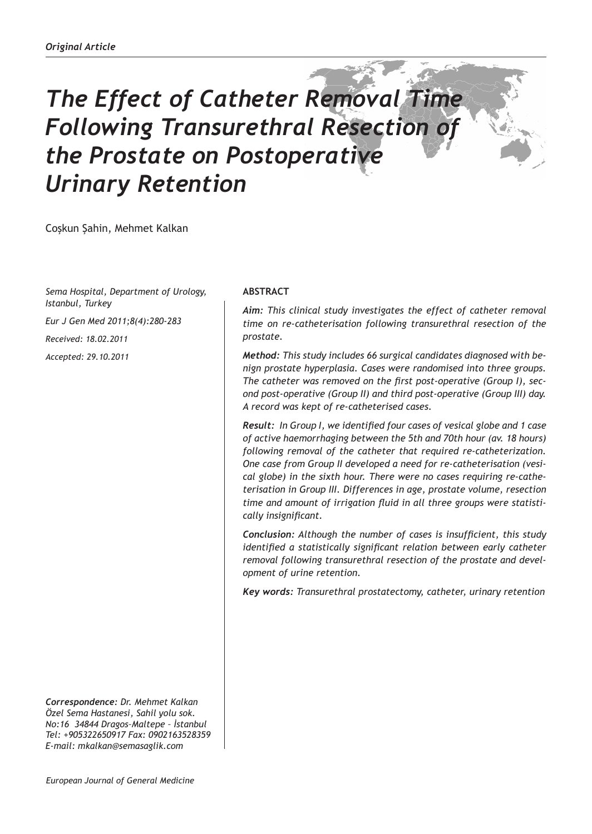# *The Effect of Catheter Removal Time Following Transurethral Resection of the Prostate on Postoperative Urinary Retention*

Coşkun Şahin, Mehmet Kalkan

*Sema Hospital, Department of Urology, Istanbul, Turkey*

*Eur J Gen Med 2011;8(4):280-283*

*Received: 18.02.2011*

*Accepted: 29.10.2011*

*Correspondence: Dr. Mehmet Kalkan Özel Sema Hastanesi, Sahil yolu sok. No:16 34844 Dragos–Maltepe – İstanbul Tel: +905322650917 Fax: 0902163528359 E-mail: mkalkan@semasaglik.com*

# **ABSTRACT**

*Aim: This clinical study investigates the effect of catheter removal time on re-catheterisation following transurethral resection of the prostate.*

*Method: This study includes 66 surgical candidates diagnosed with benign prostate hyperplasia. Cases were randomised into three groups. The catheter was removed on the first post-operative (Group I), second post-operative (Group II) and third post-operative (Group III) day. A record was kept of re-catheterised cases.*

*Result: In Group I, we identified four cases of vesical globe and 1 case of active haemorrhaging between the 5th and 70th hour (av. 18 hours) following removal of the catheter that required re-catheterization. One case from Group II developed a need for re-catheterisation (vesical globe) in the sixth hour. There were no cases requiring re-catheterisation in Group III. Differences in age, prostate volume, resection time and amount of irrigation fluid in all three groups were statistically insignificant.* 

*Conclusion: Although the number of cases is insufficient, this study identified a statistically significant relation between early catheter removal following transurethral resection of the prostate and development of urine retention.* 

*Key words: Transurethral prostatectomy, catheter, urinary retention*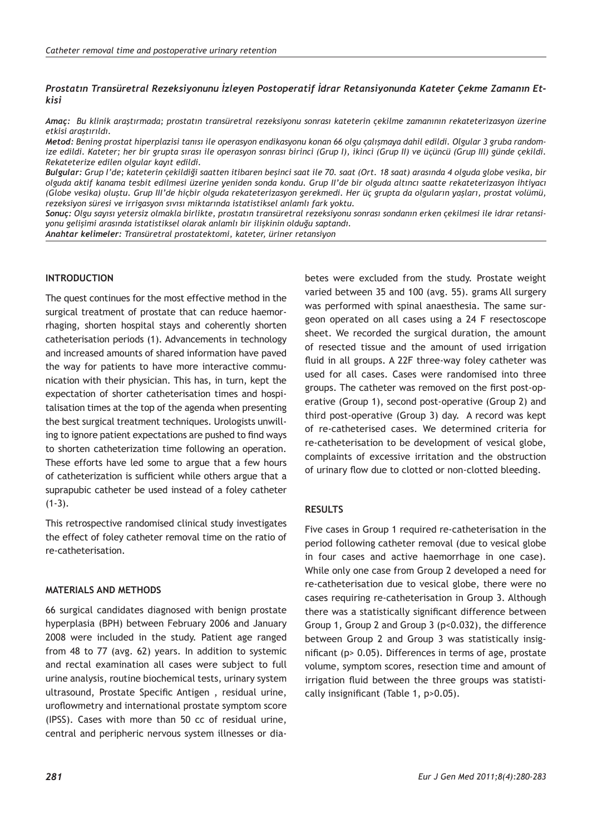#### *Prostatın Transüretral Rezeksiyonunu İzleyen Postoperatif İdrar Retansiyonunda Kateter Çekme Zamanın Etkisi*

*Amaç: Bu klinik araştırmada; prostatın transüretral rezeksiyonu sonrası kateterin çekilme zamanının rekateterizasyon üzerine etkisi araştırıldı.*

*Metod: Bening prostat hiperplazisi tanısı ile operasyon endikasyonu konan 66 olgu çalışmaya dahil edildi. Olgular 3 gruba randomize edildi. Kateter; her bir grupta sırası ile operasyon sonrası birinci (Grup I), ikinci (Grup II) ve üçüncü (Grup III) günde çekildi. Rekateterize edilen olgular kayıt edildi.*

*Bulgular: Grup I'de; kateterin çekildiği saatten itibaren beşinci saat ile 70. saat (Ort. 18 saat) arasında 4 olguda globe vesika, bir olguda aktif kanama tesbit edilmesi üzerine yeniden sonda kondu. Grup II'de bir olguda altıncı saatte rekateterizasyon ihtiyacı (Globe vesika) oluştu. Grup III'de hiçbir olguda rekateterizasyon gerekmedi. Her üç grupta da olguların yaşları, prostat volümü, rezeksiyon süresi ve irrigasyon sıvısı miktarında istatistiksel anlamlı fark yoktu.* 

*Sonuç: Olgu sayısı yetersiz olmakla birlikte, prostatın transüretral rezeksiyonu sonrası sondanın erken çekilmesi ile idrar retansiyonu gelişimi arasında istatistiksel olarak anlamlı bir ilişkinin olduğu saptandı.*

*Anahtar kelimeler: Transüretral prostatektomi, kateter, üriner retansiyon*

#### **INTRODUCTION**

The quest continues for the most effective method in the surgical treatment of prostate that can reduce haemorrhaging, shorten hospital stays and coherently shorten catheterisation periods (1). Advancements in technology and increased amounts of shared information have paved the way for patients to have more interactive communication with their physician. This has, in turn, kept the expectation of shorter catheterisation times and hospitalisation times at the top of the agenda when presenting the best surgical treatment techniques. Urologists unwilling to ignore patient expectations are pushed to find ways to shorten catheterization time following an operation. These efforts have led some to argue that a few hours of catheterization is sufficient while others argue that a suprapubic catheter be used instead of a foley catheter  $(1-3)$ .

This retrospective randomised clinical study investigates the effect of foley catheter removal time on the ratio of re-catheterisation.

# **MATERIALS AND METHODS**

66 surgical candidates diagnosed with benign prostate hyperplasia (BPH) between February 2006 and January 2008 were included in the study. Patient age ranged from 48 to 77 (avg. 62) years. In addition to systemic and rectal examination all cases were subject to full urine analysis, routine biochemical tests, urinary system ultrasound, Prostate Specific Antigen , residual urine, uroflowmetry and international prostate symptom score (IPSS). Cases with more than 50 cc of residual urine, central and peripheric nervous system illnesses or dia-

betes were excluded from the study. Prostate weight varied between 35 and 100 (avg. 55). grams All surgery was performed with spinal anaesthesia. The same surgeon operated on all cases using a 24 F resectoscope sheet. We recorded the surgical duration, the amount of resected tissue and the amount of used irrigation fluid in all groups. A 22F three-way foley catheter was used for all cases. Cases were randomised into three groups. The catheter was removed on the first post-operative (Group 1), second post-operative (Group 2) and third post-operative (Group 3) day. A record was kept of re-catheterised cases. We determined criteria for re-catheterisation to be development of vesical globe, complaints of excessive irritation and the obstruction of urinary flow due to clotted or non-clotted bleeding.

### **RESULTS**

Five cases in Group 1 required re-catheterisation in the period following catheter removal (due to vesical globe in four cases and active haemorrhage in one case). While only one case from Group 2 developed a need for re-catheterisation due to vesical globe, there were no cases requiring re-catheterisation in Group 3. Although there was a statistically significant difference between Group 1, Group 2 and Group 3 (p<0.032), the difference between Group 2 and Group 3 was statistically insignificant (p> 0.05). Differences in terms of age, prostate volume, symptom scores, resection time and amount of irrigation fluid between the three groups was statistically insignificant (Table 1, p>0.05).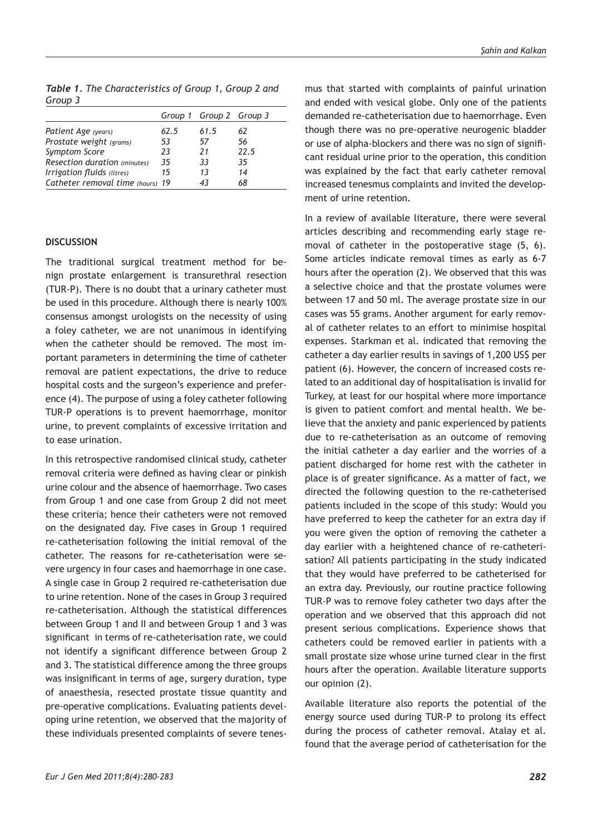*Table 1. The Characteristics of Group 1, Group 2 and Group 3*

|                                  |      | Group 1 Group 2 Group 3 |      |
|----------------------------------|------|-------------------------|------|
| Patient Age (years)              | 62.5 | 61.5                    | 62   |
| Prostate weight (grams)          | 53   | 57                      | 56   |
| Symptom Score                    | 23   | 21                      | 22.5 |
| Resection duration (minutes)     | 35   | 33                      | 35   |
| Irrigation fluids (litres)       | 15   | 1 <sub>3</sub>          | 14   |
| Catheter removal time (hours) 19 |      | 43                      | 68   |

### **DISCUSSION**

The traditional surgical treatment method for benign prostate enlargement is transurethral resection (TUR-P). There is no doubt that a urinary catheter must be used in this procedure. Although there is nearly 100% consensus amongst urologists on the necessity of using a foley catheter, we are not unanimous in identifying when the catheter should be removed. The most important parameters in determining the time of catheter removal are patient expectations, the drive to reduce hospital costs and the surgeon's experience and preference (4). The purpose of using a foley catheter following TUR-P operations is to prevent haemorrhage, monitor urine, to prevent complaints of excessive irritation and to ease urination.

In this retrospective randomised clinical study, catheter removal criteria were defined as having clear or pinkish urine colour and the absence of haemorrhage. Two cases from Group 1 and one case from Group 2 did not meet these criteria; hence their catheters were not removed on the designated day. Five cases in Group 1 required re-catheterisation following the initial removal of the catheter. The reasons for re-catheterisation were severe urgency in four cases and haemorrhage in one case. A single case in Group 2 required re-catheterisation due to urine retention. None of the cases in Group 3 required re-catheterisation. Although the statistical differences between Group 1 and II and between Group 1 and 3 was significant in terms of re-catheterisation rate, we could not identify a significant difference between Group 2 and 3. The statistical difference among the three groups was insignificant in terms of age, surgery duration, type of anaesthesia, resected prostate tissue quantity and pre-operative complications. Evaluating patients developing urine retention, we observed that the majority of these individuals presented complaints of severe tenes-

mus that started with complaints of painful urination and ended with vesical globe. Only one of the patients demanded re-catheterisation due to haemorrhage. Even though there was no pre-operative neurogenic bladder or use of alpha-blockers and there was no sign of significant residual urine prior to the operation, this condition was explained by the fact that early catheter removal increased tenesmus complaints and invited the development of urine retention.

In a review of available literature, there were several articles describing and recommending early stage removal of catheter in the postoperative stage (5, 6). Some articles indicate removal times as early as 6-7 hours after the operation (2). We observed that this was a selective choice and that the prostate volumes were between 17 and 50 ml. The average prostate size in our cases was 55 grams. Another argument for early removal of catheter relates to an effort to minimise hospital expenses. Starkman et al. indicated that removing the catheter a day earlier results in savings of 1,200 US\$ per patient (6). However, the concern of increased costs related to an additional day of hospitalisation is invalid for Turkey, at least for our hospital where more importance is given to patient comfort and mental health. We believe that the anxiety and panic experienced by patients due to re-catheterisation as an outcome of removing the initial catheter a day earlier and the worries of a patient discharged for home rest with the catheter in place is of greater significance. As a matter of fact, we directed the following question to the re-catheterised patients included in the scope of this study: Would you have preferred to keep the catheter for an extra day if you were given the option of removing the catheter a day earlier with a heightened chance of re-catheterisation? All patients participating in the study indicated that they would have preferred to be catheterised for an extra day. Previously, our routine practice following TUR-P was to remove foley catheter two days after the operation and we observed that this approach did not present serious complications. Experience shows that catheters could be removed earlier in patients with a small prostate size whose urine turned clear in the first hours after the operation. Available literature supports our opinion (2).

Available literature also reports the potential of the energy source used during TUR-P to prolong its effect during the process of catheter removal. Atalay et al. found that the average period of catheterisation for the